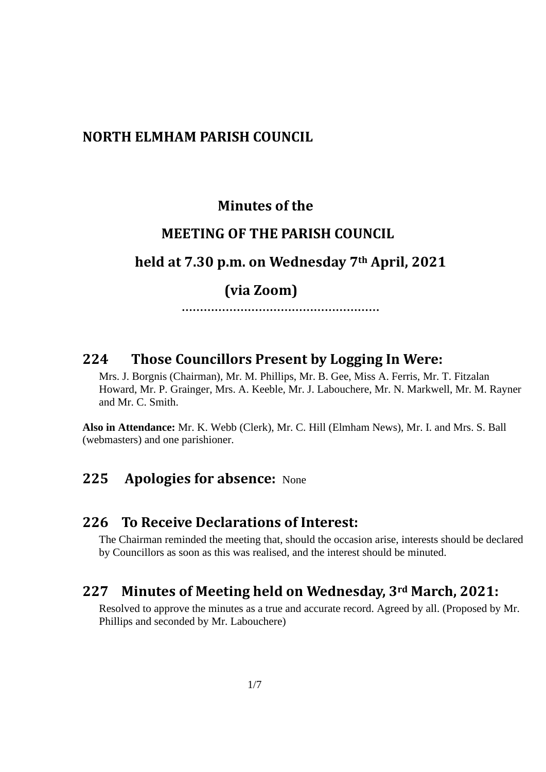#### **NORTH ELMHAM PARISH COUNCIL**

#### **Minutes of the**

#### **MEETING OF THE PARISH COUNCIL**

## **held at 7.30 p.m. on Wednesday 7th April, 2021**

## **(via Zoom)**

 **………………………………………………**

# **224 Those Councillors Present by Logging In Were:**

Mrs. J. Borgnis (Chairman), Mr. M. Phillips, Mr. B. Gee, Miss A. Ferris, Mr. T. Fitzalan Howard, Mr. P. Grainger, Mrs. A. Keeble, Mr. J. Labouchere, Mr. N. Markwell, Mr. M. Rayner and Mr. C. Smith.

**Also in Attendance:** Mr. K. Webb (Clerk), Mr. C. Hill (Elmham News), Mr. I. and Mrs. S. Ball (webmasters) and one parishioner.

## **225 Apologies for absence:** None

#### **226 To Receive Declarations of Interest:**

The Chairman reminded the meeting that, should the occasion arise, interests should be declared by Councillors as soon as this was realised, and the interest should be minuted.

## **227 Minutes of Meeting held on Wednesday, 3rd March, 2021:**

Resolved to approve the minutes as a true and accurate record. Agreed by all. (Proposed by Mr. Phillips and seconded by Mr. Labouchere)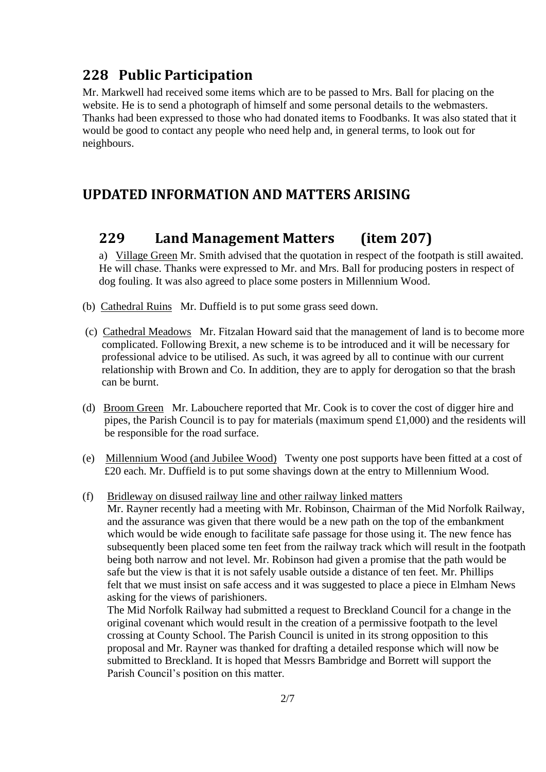# **228 Public Participation**

Mr. Markwell had received some items which are to be passed to Mrs. Ball for placing on the website. He is to send a photograph of himself and some personal details to the webmasters. Thanks had been expressed to those who had donated items to Foodbanks. It was also stated that it would be good to contact any people who need help and, in general terms, to look out for neighbours.

## **UPDATED INFORMATION AND MATTERS ARISING**

# **229 Land Management Matters (item 207)**

a) Village Green Mr. Smith advised that the quotation in respect of the footpath is still awaited. He will chase. Thanks were expressed to Mr. and Mrs. Ball for producing posters in respect of dog fouling. It was also agreed to place some posters in Millennium Wood.

- (b) Cathedral Ruins Mr. Duffield is to put some grass seed down.
- (c) Cathedral Meadows Mr. Fitzalan Howard said that the management of land is to become more complicated. Following Brexit, a new scheme is to be introduced and it will be necessary for professional advice to be utilised. As such, it was agreed by all to continue with our current relationship with Brown and Co. In addition, they are to apply for derogation so that the brash can be burnt.
- (d) Broom Green Mr. Labouchere reported that Mr. Cook is to cover the cost of digger hire and pipes, the Parish Council is to pay for materials (maximum spend £1,000) and the residents will be responsible for the road surface.
- (e) Millennium Wood (and Jubilee Wood) Twenty one post supports have been fitted at a cost of £20 each. Mr. Duffield is to put some shavings down at the entry to Millennium Wood.
- (f) Bridleway on disused railway line and other railway linked matters

 Mr. Rayner recently had a meeting with Mr. Robinson, Chairman of the Mid Norfolk Railway, and the assurance was given that there would be a new path on the top of the embankment which would be wide enough to facilitate safe passage for those using it. The new fence has subsequently been placed some ten feet from the railway track which will result in the footpath being both narrow and not level. Mr. Robinson had given a promise that the path would be safe but the view is that it is not safely usable outside a distance of ten feet. Mr. Phillips felt that we must insist on safe access and it was suggested to place a piece in Elmham News asking for the views of parishioners.

 The Mid Norfolk Railway had submitted a request to Breckland Council for a change in the original covenant which would result in the creation of a permissive footpath to the level crossing at County School. The Parish Council is united in its strong opposition to this proposal and Mr. Rayner was thanked for drafting a detailed response which will now be submitted to Breckland. It is hoped that Messrs Bambridge and Borrett will support the Parish Council's position on this matter.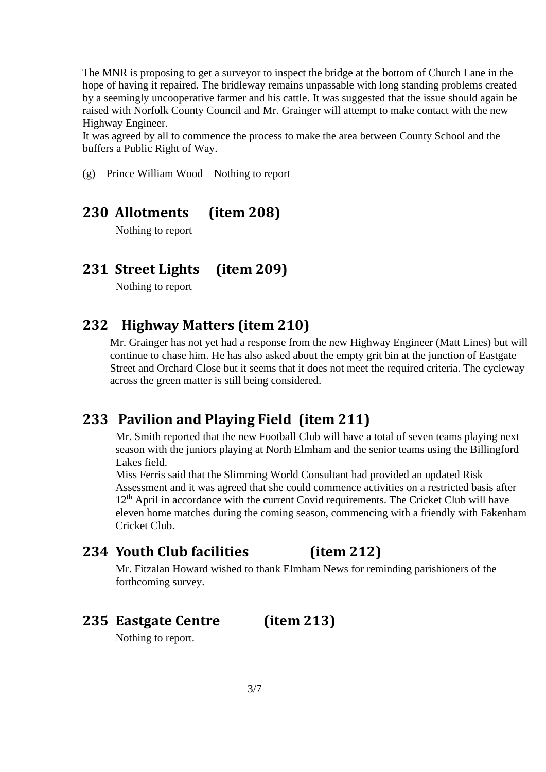The MNR is proposing to get a surveyor to inspect the bridge at the bottom of Church Lane in the hope of having it repaired. The bridleway remains unpassable with long standing problems created by a seemingly uncooperative farmer and his cattle. It was suggested that the issue should again be raised with Norfolk County Council and Mr. Grainger will attempt to make contact with the new Highway Engineer.

It was agreed by all to commence the process to make the area between County School and the buffers a Public Right of Way.

(g) Prince William Wood Nothing to report

# **230 Allotments (item 208)**

Nothing to report

# **231 Street Lights (item 209)**

Nothing to report

# **232 Highway Matters (item 210)**

Mr. Grainger has not yet had a response from the new Highway Engineer (Matt Lines) but will continue to chase him. He has also asked about the empty grit bin at the junction of Eastgate Street and Orchard Close but it seems that it does not meet the required criteria. The cycleway across the green matter is still being considered.

# **233 Pavilion and Playing Field (item 211)**

 Mr. Smith reported that the new Football Club will have a total of seven teams playing next season with the juniors playing at North Elmham and the senior teams using the Billingford Lakes field.

Miss Ferris said that the Slimming World Consultant had provided an updated Risk Assessment and it was agreed that she could commence activities on a restricted basis after 12<sup>th</sup> April in accordance with the current Covid requirements. The Cricket Club will have eleven home matches during the coming season, commencing with a friendly with Fakenham Cricket Club.

# **234 Youth Club facilities (item 212)**

Mr. Fitzalan Howard wished to thank Elmham News for reminding parishioners of the forthcoming survey.

# **235 Eastgate Centre (item 213)**

Nothing to report.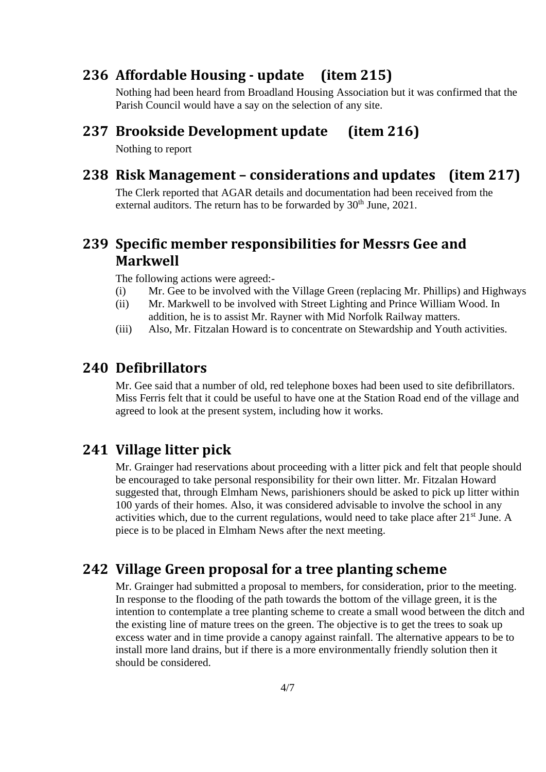# **236 Affordable Housing - update (item 215)**

Nothing had been heard from Broadland Housing Association but it was confirmed that the Parish Council would have a say on the selection of any site.

## **237 Brookside Development update (item 216)**

Nothing to report

# **238 Risk Management – considerations and updates (item 217)**

The Clerk reported that AGAR details and documentation had been received from the external auditors. The return has to be forwarded by  $30<sup>th</sup>$  June,  $2021$ .

# **239 Specific member responsibilities for Messrs Gee and Markwell**

The following actions were agreed:-

- (i) Mr. Gee to be involved with the Village Green (replacing Mr. Phillips) and Highways
- (ii) Mr. Markwell to be involved with Street Lighting and Prince William Wood. In addition, he is to assist Mr. Rayner with Mid Norfolk Railway matters.
- (iii) Also, Mr. Fitzalan Howard is to concentrate on Stewardship and Youth activities.

# **240 Defibrillators**

Mr. Gee said that a number of old, red telephone boxes had been used to site defibrillators. Miss Ferris felt that it could be useful to have one at the Station Road end of the village and agreed to look at the present system, including how it works.

# **241 Village litter pick**

Mr. Grainger had reservations about proceeding with a litter pick and felt that people should be encouraged to take personal responsibility for their own litter. Mr. Fitzalan Howard suggested that, through Elmham News, parishioners should be asked to pick up litter within 100 yards of their homes. Also, it was considered advisable to involve the school in any activities which, due to the current regulations, would need to take place after  $21<sup>st</sup>$  June. A piece is to be placed in Elmham News after the next meeting.

# **242 Village Green proposal for a tree planting scheme**

Mr. Grainger had submitted a proposal to members, for consideration, prior to the meeting. In response to the flooding of the path towards the bottom of the village green, it is the intention to contemplate a tree planting scheme to create a small wood between the ditch and the existing line of mature trees on the green. The objective is to get the trees to soak up excess water and in time provide a canopy against rainfall. The alternative appears to be to install more land drains, but if there is a more environmentally friendly solution then it should be considered.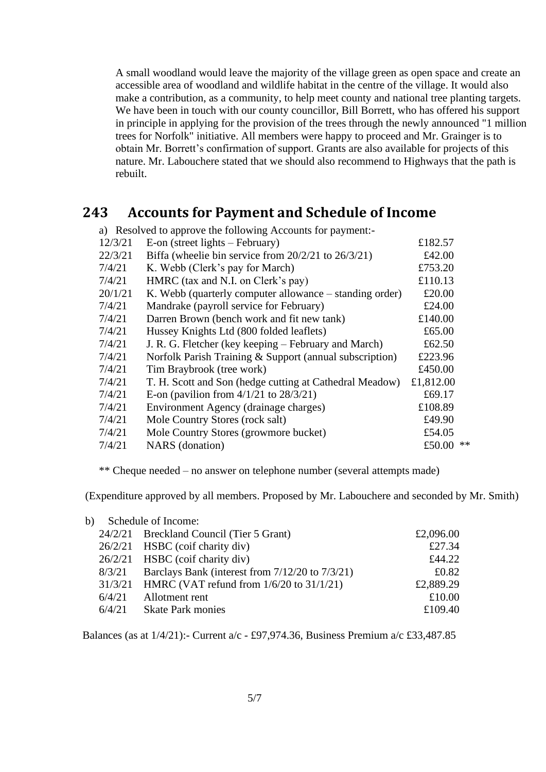A small woodland would leave the majority of the village green as open space and create an accessible area of woodland and wildlife habitat in the centre of the village. It would also make a contribution, as a community, to help meet county and national tree planting targets. We have been in touch with our county councillor, Bill Borrett, who has offered his support in principle in applying for the provision of the trees through the newly announced "1 million trees for Norfolk" initiative. All members were happy to proceed and Mr. Grainger is to obtain Mr. Borrett's confirmation of support. Grants are also available for projects of this nature. Mr. Labouchere stated that we should also recommend to Highways that the path is rebuilt.

## **243 Accounts for Payment and Schedule of Income**

|         | a) Resolved to approve the following Accounts for payment:- |           |      |
|---------|-------------------------------------------------------------|-----------|------|
| 12/3/21 | $E$ -on (street lights – February)                          | £182.57   |      |
| 22/3/21 | Biffa (wheelie bin service from $20/2/21$ to $26/3/21$ )    | £42.00    |      |
| 7/4/21  | K. Webb (Clerk's pay for March)                             | £753.20   |      |
| 7/4/21  | HMRC (tax and N.I. on Clerk's pay)                          | £110.13   |      |
| 20/1/21 | K. Webb (quarterly computer allowance – standing order)     | £20.00    |      |
| 7/4/21  | Mandrake (payroll service for February)                     | £24.00    |      |
| 7/4/21  | Darren Brown (bench work and fit new tank)                  | £140.00   |      |
| 7/4/21  | Hussey Knights Ltd (800 folded leaflets)                    | £65.00    |      |
| 7/4/21  | J. R. G. Fletcher (key keeping – February and March)        | £62.50    |      |
| 7/4/21  | Norfolk Parish Training & Support (annual subscription)     | £223.96   |      |
| 7/4/21  | Tim Braybrook (tree work)                                   | £450.00   |      |
| 7/4/21  | T. H. Scott and Son (hedge cutting at Cathedral Meadow)     | £1,812.00 |      |
| 7/4/21  | E-on (pavilion from $4/1/21$ to $28/3/21$ )                 | £69.17    |      |
| 7/4/21  | Environment Agency (drainage charges)                       | £108.89   |      |
| 7/4/21  | Mole Country Stores (rock salt)                             | £49.90    |      |
| 7/4/21  | Mole Country Stores (growmore bucket)                       | £54.05    |      |
| 7/4/21  | <b>NARS</b> (donation)                                      | £50.00    | $**$ |
|         |                                                             |           |      |

\*\* Cheque needed – no answer on telephone number (several attempts made)

(Expenditure approved by all members. Proposed by Mr. Labouchere and seconded by Mr. Smith)

| b) | Schedule of Income: |                                                      |           |  |  |
|----|---------------------|------------------------------------------------------|-----------|--|--|
|    |                     | 24/2/21 Breckland Council (Tier 5 Grant)             | £2,096.00 |  |  |
|    |                     | 26/2/21 HSBC (coif charity div)                      | £27.34    |  |  |
|    |                     | 26/2/21 HSBC (coif charity div)                      | £44.22    |  |  |
|    | 8/3/21              | Barclays Bank (interest from $7/12/20$ to $7/3/21$ ) | £0.82     |  |  |
|    |                     | 31/3/21 HMRC (VAT refund from 1/6/20 to 31/1/21)     | £2,889.29 |  |  |
|    | 6/4/21              | Allotment rent                                       | £10.00    |  |  |
|    | 6/4/21              | <b>Skate Park monies</b>                             | £109.40   |  |  |

Balances (as at 1/4/21):- Current a/c - £97,974.36, Business Premium a/c £33,487.85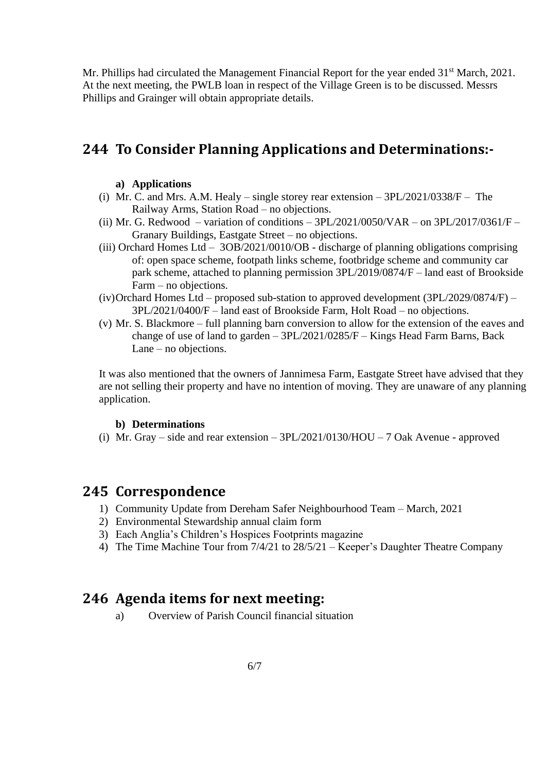Mr. Phillips had circulated the Management Financial Report for the year ended 31<sup>st</sup> March, 2021. At the next meeting, the PWLB loan in respect of the Village Green is to be discussed. Messrs Phillips and Grainger will obtain appropriate details.

# **244 To Consider Planning Applications and Determinations:-**

#### **a) Applications**

- (i) Mr. C. and Mrs. A.M. Healy single storey rear extension 3PL/2021/0338/F The Railway Arms, Station Road – no objections.
- (ii) Mr. G. Redwood variation of conditions  $3PL/2021/0050/\text{VAR}$  on  $3PL/2017/0361/\text{F}$  Granary Buildings, Eastgate Street – no objections.
- (iii) Orchard Homes Ltd 3OB/2021/0010/OB discharge of planning obligations comprising of: open space scheme, footpath links scheme, footbridge scheme and community car park scheme, attached to planning permission 3PL/2019/0874/F – land east of Brookside Farm – no objections.
- (iv)Orchard Homes Ltd proposed sub-station to approved development (3PL/2029/0874/F) 3PL/2021/0400/F – land east of Brookside Farm, Holt Road – no objections.
- (v) Mr. S. Blackmore full planning barn conversion to allow for the extension of the eaves and change of use of land to garden – 3PL/2021/0285/F – Kings Head Farm Barns, Back Lane – no objections.

It was also mentioned that the owners of Jannimesa Farm, Eastgate Street have advised that they are not selling their property and have no intention of moving. They are unaware of any planning application.

#### **b) Determinations**

(i) Mr. Gray – side and rear extension –  $3PL/2021/0130/HOU - 7$  Oak Avenue - approved

### **245 Correspondence**

- 1) Community Update from Dereham Safer Neighbourhood Team March, 2021
- 2) Environmental Stewardship annual claim form
- 3) Each Anglia's Children's Hospices Footprints magazine
- 4) The Time Machine Tour from 7/4/21 to 28/5/21 Keeper's Daughter Theatre Company

# **246 Agenda items for next meeting:**

a) Overview of Parish Council financial situation